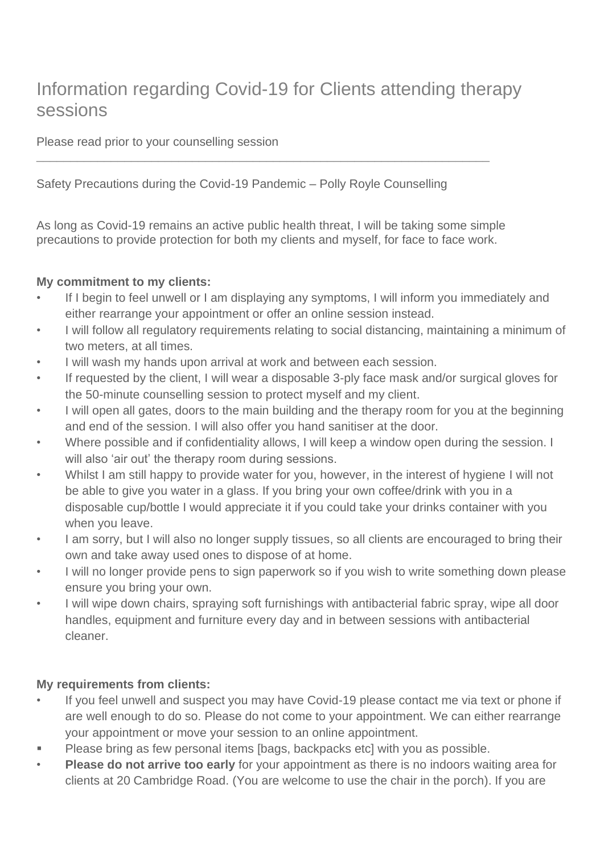## Information regarding Covid-19 for Clients attending therapy sessions

Please read prior to your counselling session

Safety Precautions during the Covid-19 Pandemic – Polly Royle Counselling

As long as Covid-19 remains an active public health threat, I will be taking some simple precautions to provide protection for both my clients and myself, for face to face work.

 $\_$  , and the set of the set of the set of the set of the set of the set of the set of the set of the set of the set of the set of the set of the set of the set of the set of the set of the set of the set of the set of th

## **My commitment to my clients:**

- If I begin to feel unwell or I am displaying any symptoms, I will inform you immediately and either rearrange your appointment or offer an online session instead.
- I will follow all regulatory requirements relating to social distancing, maintaining a minimum of two meters, at all times.
- I will wash my hands upon arrival at work and between each session.
- If requested by the client, I will wear a disposable 3-ply face mask and/or surgical gloves for the 50-minute counselling session to protect myself and my client.
- I will open all gates, doors to the main building and the therapy room for you at the beginning and end of the session. I will also offer you hand sanitiser at the door.
- Where possible and if confidentiality allows, I will keep a window open during the session. I will also 'air out' the therapy room during sessions.
- Whilst I am still happy to provide water for you, however, in the interest of hygiene I will not be able to give you water in a glass. If you bring your own coffee/drink with you in a disposable cup/bottle I would appreciate it if you could take your drinks container with you when you leave.
- I am sorry, but I will also no longer supply tissues, so all clients are encouraged to bring their own and take away used ones to dispose of at home.
- I will no longer provide pens to sign paperwork so if you wish to write something down please ensure you bring your own.
- I will wipe down chairs, spraying soft furnishings with antibacterial fabric spray, wipe all door handles, equipment and furniture every day and in between sessions with antibacterial cleaner.

## **My requirements from clients:**

- If you feel unwell and suspect you may have Covid-19 please contact me via text or phone if are well enough to do so. Please do not come to your appointment. We can either rearrange your appointment or move your session to an online appointment.
- Please bring as few personal items [bags, backpacks etc] with you as possible.
- **Please do not arrive too early** for your appointment as there is no indoors waiting area for clients at 20 Cambridge Road. (You are welcome to use the chair in the porch). If you are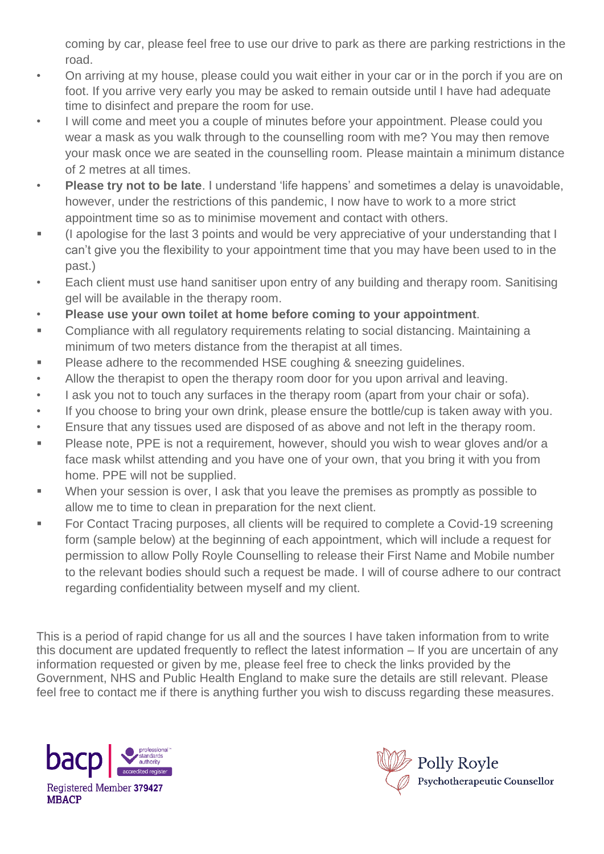coming by car, please feel free to use our drive to park as there are parking restrictions in the road.

- On arriving at my house, please could you wait either in your car or in the porch if you are on foot. If you arrive very early you may be asked to remain outside until I have had adequate time to disinfect and prepare the room for use.
- I will come and meet you a couple of minutes before your appointment. Please could you wear a mask as you walk through to the counselling room with me? You may then remove your mask once we are seated in the counselling room. Please maintain a minimum distance of 2 metres at all times.
- **Please try not to be late**. I understand 'life happens' and sometimes a delay is unavoidable, however, under the restrictions of this pandemic, I now have to work to a more strict appointment time so as to minimise movement and contact with others.
- (I apologise for the last 3 points and would be very appreciative of your understanding that I can't give you the flexibility to your appointment time that you may have been used to in the past.)
- Each client must use hand sanitiser upon entry of any building and therapy room. Sanitising gel will be available in the therapy room.
- **Please use your own toilet at home before coming to your appointment**.
- Compliance with all regulatory requirements relating to social distancing. Maintaining a minimum of two meters distance from the therapist at all times.
- Please adhere to the recommended HSE coughing & sneezing guidelines.
- Allow the therapist to open the therapy room door for you upon arrival and leaving.
- I ask you not to touch any surfaces in the therapy room (apart from your chair or sofa).
- If you choose to bring your own drink, please ensure the bottle/cup is taken away with you.
- Ensure that any tissues used are disposed of as above and not left in the therapy room.
- Please note, PPE is not a requirement, however, should you wish to wear gloves and/or a face mask whilst attending and you have one of your own, that you bring it with you from home. PPE will not be supplied.
- When your session is over, I ask that you leave the premises as promptly as possible to allow me to time to clean in preparation for the next client.
- For Contact Tracing purposes, all clients will be required to complete a Covid-19 screening form (sample below) at the beginning of each appointment, which will include a request for permission to allow Polly Royle Counselling to release their First Name and Mobile number to the relevant bodies should such a request be made. I will of course adhere to our contract regarding confidentiality between myself and my client.

This is a period of rapid change for us all and the sources I have taken information from to write this document are updated frequently to reflect the latest information – If you are uncertain of any information requested or given by me, please feel free to check the links provided by the Government, NHS and Public Health England to make sure the details are still relevant. Please feel free to contact me if there is anything further you wish to discuss regarding these measures.